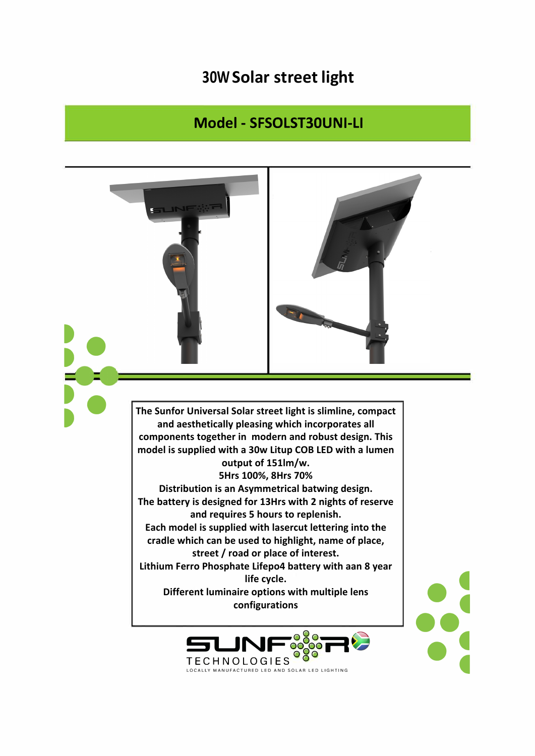## **30W Solar street light**

## Model - SFSOLST30UNI-LI